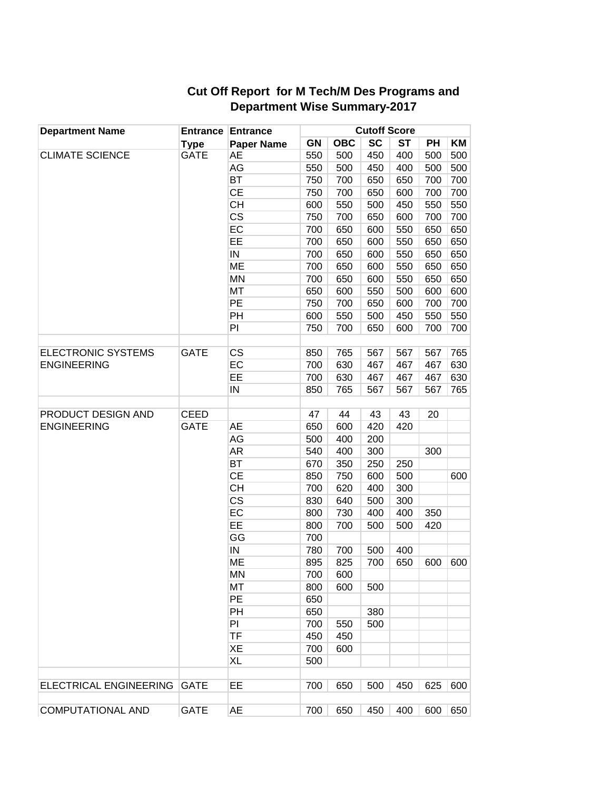| <b>Department Name</b>    | <b>Type</b> | <b>Entrance Entrance</b><br><b>Paper Name</b> | <b>Cutoff Score</b> |            |     |           |     |     |  |
|---------------------------|-------------|-----------------------------------------------|---------------------|------------|-----|-----------|-----|-----|--|
|                           |             |                                               | GN                  | <b>OBC</b> | SC  | <b>ST</b> | PH  | ΚM  |  |
| <b>CLIMATE SCIENCE</b>    | GATE        | <b>AE</b>                                     | 550                 | 500        | 450 | 400       | 500 | 500 |  |
|                           |             | AG                                            | 550                 | 500        | 450 | 400       | 500 | 500 |  |
|                           |             | <b>BT</b>                                     | 750                 | 700        | 650 | 650       | 700 | 700 |  |
|                           |             | CE                                            | 750                 | 700        | 650 | 600       | 700 | 700 |  |
|                           |             | <b>CH</b>                                     | 600                 | 550        | 500 | 450       | 550 | 550 |  |
|                           |             | CS                                            | 750                 | 700        | 650 | 600       | 700 | 700 |  |
|                           |             | EC                                            | 700                 | 650        | 600 | 550       | 650 | 650 |  |
|                           |             | EE                                            | 700                 | 650        | 600 | 550       | 650 | 650 |  |
|                           |             | ${\sf IN}$                                    | 700                 | 650        | 600 | 550       | 650 | 650 |  |
|                           |             | ME                                            | 700                 | 650        | 600 | 550       | 650 | 650 |  |
|                           |             | <b>MN</b>                                     | 700                 | 650        | 600 | 550       | 650 | 650 |  |
|                           |             | <b>MT</b>                                     | 650                 | 600        | 550 | 500       | 600 | 600 |  |
|                           |             | PE                                            | 750                 | 700        | 650 | 600       | 700 | 700 |  |
|                           |             | PH                                            | 600                 | 550        | 500 | 450       | 550 | 550 |  |
|                           |             | PI                                            | 750                 | 700        | 650 | 600       | 700 | 700 |  |
|                           |             |                                               |                     |            |     |           |     |     |  |
| <b>ELECTRONIC SYSTEMS</b> | <b>GATE</b> | CS                                            | 850                 | 765        | 567 | 567       | 567 | 765 |  |
| <b>ENGINEERING</b>        |             | EC                                            | 700                 | 630        | 467 | 467       | 467 | 630 |  |
|                           |             | EE                                            | 700                 | 630        | 467 | 467       | 467 | 630 |  |
|                           |             | ${\sf IN}$                                    | 850                 | 765        | 567 | 567       | 567 | 765 |  |
|                           |             |                                               |                     |            |     |           |     |     |  |
| PRODUCT DESIGN AND        | <b>CEED</b> |                                               | 47                  | 44         | 43  | 43        | 20  |     |  |
| <b>ENGINEERING</b>        | <b>GATE</b> | <b>AE</b>                                     | 650                 | 600        | 420 | 420       |     |     |  |
|                           |             | AG                                            | 500                 | 400        | 200 |           |     |     |  |
|                           |             | AR                                            | 540                 | 400        | 300 |           | 300 |     |  |
|                           |             | <b>BT</b>                                     | 670                 | 350        | 250 | 250       |     |     |  |
|                           |             | <b>CE</b>                                     | 850                 | 750        | 600 | 500       |     | 600 |  |
|                           |             | <b>CH</b>                                     | 700                 | 620        | 400 | 300       |     |     |  |
|                           |             | $\overline{\text{CS}}$                        | 830                 | 640        | 500 | 300       |     |     |  |
|                           |             | EC                                            | 800                 | 730        | 400 | 400       | 350 |     |  |
|                           |             | EE                                            | 800                 | 700        | 500 | 500       | 420 |     |  |
|                           |             | GG                                            | 700                 |            |     |           |     |     |  |
|                           |             | ${\sf IN}$                                    | 780                 | 700        | 500 | 400       |     |     |  |
|                           |             | ME                                            | 895                 | 825        | 700 | 650       | 600 | 600 |  |
|                           |             | <b>MN</b>                                     | 700                 | 600        |     |           |     |     |  |
|                           |             | MT                                            | 800                 | 600        | 500 |           |     |     |  |
|                           |             | PE                                            | 650                 |            |     |           |     |     |  |
|                           |             | PH                                            | 650                 |            | 380 |           |     |     |  |
|                           |             | PI                                            | 700                 | 550        | 500 |           |     |     |  |
|                           |             | <b>TF</b>                                     | 450                 | 450        |     |           |     |     |  |
|                           |             | XE                                            | 700                 | 600        |     |           |     |     |  |
|                           |             | XL                                            | 500                 |            |     |           |     |     |  |
|                           |             |                                               |                     |            |     |           |     |     |  |
| ELECTRICAL ENGINEERING    | <b>GATE</b> | EE                                            | 700                 | 650        | 500 | 450       | 625 | 600 |  |
|                           |             |                                               |                     |            |     |           |     |     |  |
| <b>COMPUTATIONAL AND</b>  | <b>GATE</b> | <b>AE</b>                                     | 700                 | 650        | 450 | 400       | 600 | 650 |  |

## **Cut Off Report for M Tech/M Des Programs and Department Wise Summary-2017**